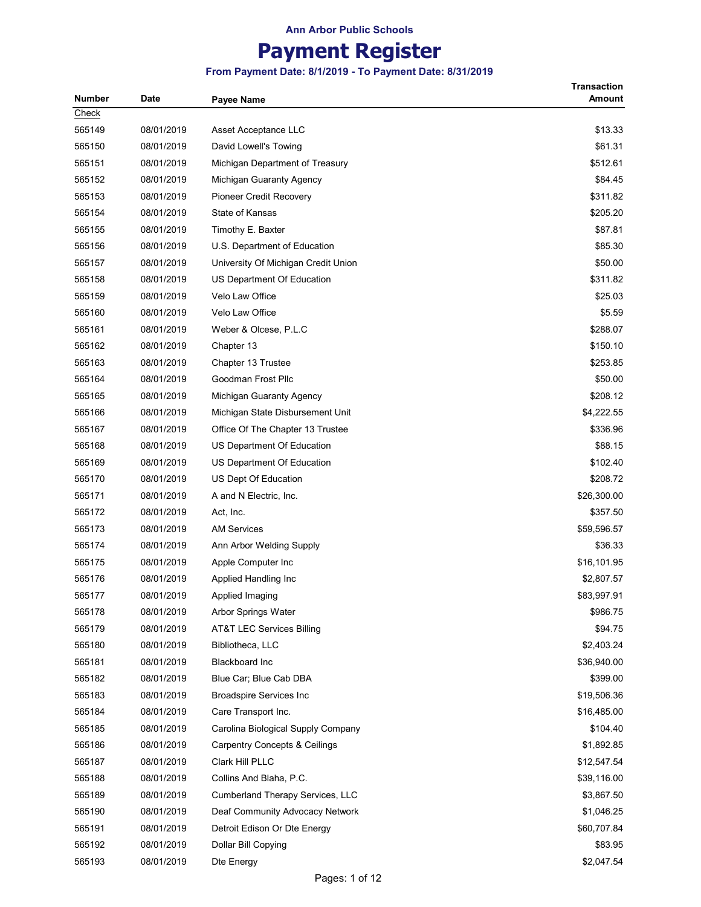## Payment Register

| Check<br>\$13.33<br>08/01/2019<br>Asset Acceptance LLC<br>08/01/2019<br>\$61.31<br>David Lowell's Towing<br>\$512.61<br>08/01/2019<br>Michigan Department of Treasury<br>08/01/2019<br>\$84.45<br>Michigan Guaranty Agency<br>\$311.82<br>565153<br>08/01/2019<br><b>Pioneer Credit Recovery</b><br>State of Kansas<br>\$205.20<br>565154<br>08/01/2019<br>565155<br>08/01/2019<br>\$87.81<br>Timothy E. Baxter<br>\$85.30<br>08/01/2019<br>U.S. Department of Education<br>08/01/2019<br>\$50.00<br>University Of Michigan Credit Union<br>08/01/2019<br>\$311.82<br>565158<br>US Department Of Education<br>565159<br>08/01/2019<br><b>Velo Law Office</b><br>\$25.03<br>\$5.59<br>565160<br>08/01/2019<br>Velo Law Office<br>565161<br>\$288.07<br>08/01/2019<br>Weber & Olcese, P.L.C<br>565162<br>\$150.10<br>08/01/2019<br>Chapter 13<br>\$253.85<br>565163<br>08/01/2019<br>Chapter 13 Trustee<br>08/01/2019<br>Goodman Frost Pllc<br>\$50.00<br>\$208.12<br>565165<br>08/01/2019<br>Michigan Guaranty Agency<br>565166<br>\$4,222.55<br>08/01/2019<br>Michigan State Disbursement Unit<br>\$336.96<br>565167<br>08/01/2019<br>Office Of The Chapter 13 Trustee<br>565168<br>\$88.15<br>08/01/2019<br>US Department Of Education<br>565169<br>08/01/2019<br>\$102.40<br>US Department Of Education<br>565170<br>\$208.72<br>08/01/2019<br>US Dept Of Education<br>\$26,300.00<br>565171<br>08/01/2019<br>A and N Electric, Inc.<br>565172<br>08/01/2019<br>Act, Inc.<br>\$357.50<br>\$59,596.57<br>565173<br>08/01/2019<br><b>AM Services</b><br>\$36.33<br>565174<br>08/01/2019<br>Ann Arbor Welding Supply<br>\$16,101.95<br>565175<br>08/01/2019<br>Apple Computer Inc<br>\$2,807.57<br>565176<br>08/01/2019<br>Applied Handling Inc<br>08/01/2019<br>\$83,997.91<br>565177<br>Applied Imaging<br>565178<br>\$986.75<br>08/01/2019<br>Arbor Springs Water<br>\$94.75<br>565179<br>08/01/2019<br>AT&T LEC Services Billing<br>\$2,403.24<br>565180<br>08/01/2019<br>Bibliotheca, LLC<br>565181<br><b>Blackboard Inc</b><br>\$36,940.00<br>08/01/2019<br>565182<br>Blue Car; Blue Cab DBA<br>\$399.00<br>08/01/2019<br>565183<br>08/01/2019<br>\$19,506.36<br><b>Broadspire Services Inc</b><br>565184<br>08/01/2019<br>Care Transport Inc.<br>\$16,485.00<br>\$104.40<br>565185<br>08/01/2019<br>Carolina Biological Supply Company<br>565186<br>\$1,892.85<br>08/01/2019<br><b>Carpentry Concepts &amp; Ceilings</b><br>565187<br>08/01/2019<br>Clark Hill PLLC<br>\$12,547.54<br>565188<br>08/01/2019<br>Collins And Blaha, P.C.<br>\$39,116.00<br>565189<br>08/01/2019<br>\$3,867.50<br><b>Cumberland Therapy Services, LLC</b><br>565190<br>08/01/2019<br>Deaf Community Advocacy Network<br>\$1,046.25 | <b>Number</b> | <b>Date</b> | <b>Payee Name</b> | <b>Transaction</b><br>Amount |
|----------------------------------------------------------------------------------------------------------------------------------------------------------------------------------------------------------------------------------------------------------------------------------------------------------------------------------------------------------------------------------------------------------------------------------------------------------------------------------------------------------------------------------------------------------------------------------------------------------------------------------------------------------------------------------------------------------------------------------------------------------------------------------------------------------------------------------------------------------------------------------------------------------------------------------------------------------------------------------------------------------------------------------------------------------------------------------------------------------------------------------------------------------------------------------------------------------------------------------------------------------------------------------------------------------------------------------------------------------------------------------------------------------------------------------------------------------------------------------------------------------------------------------------------------------------------------------------------------------------------------------------------------------------------------------------------------------------------------------------------------------------------------------------------------------------------------------------------------------------------------------------------------------------------------------------------------------------------------------------------------------------------------------------------------------------------------------------------------------------------------------------------------------------------------------------------------------------------------------------------------------------------------------------------------------------------------------------------------------------------------------------------------------------------------------------------------------------------------------------------------------------------------------------------------------------------------------------------------------------------------------------------------------------------------------------------------------------------|---------------|-------------|-------------------|------------------------------|
|                                                                                                                                                                                                                                                                                                                                                                                                                                                                                                                                                                                                                                                                                                                                                                                                                                                                                                                                                                                                                                                                                                                                                                                                                                                                                                                                                                                                                                                                                                                                                                                                                                                                                                                                                                                                                                                                                                                                                                                                                                                                                                                                                                                                                                                                                                                                                                                                                                                                                                                                                                                                                                                                                                                      |               |             |                   |                              |
|                                                                                                                                                                                                                                                                                                                                                                                                                                                                                                                                                                                                                                                                                                                                                                                                                                                                                                                                                                                                                                                                                                                                                                                                                                                                                                                                                                                                                                                                                                                                                                                                                                                                                                                                                                                                                                                                                                                                                                                                                                                                                                                                                                                                                                                                                                                                                                                                                                                                                                                                                                                                                                                                                                                      | 565149        |             |                   |                              |
|                                                                                                                                                                                                                                                                                                                                                                                                                                                                                                                                                                                                                                                                                                                                                                                                                                                                                                                                                                                                                                                                                                                                                                                                                                                                                                                                                                                                                                                                                                                                                                                                                                                                                                                                                                                                                                                                                                                                                                                                                                                                                                                                                                                                                                                                                                                                                                                                                                                                                                                                                                                                                                                                                                                      | 565150        |             |                   |                              |
|                                                                                                                                                                                                                                                                                                                                                                                                                                                                                                                                                                                                                                                                                                                                                                                                                                                                                                                                                                                                                                                                                                                                                                                                                                                                                                                                                                                                                                                                                                                                                                                                                                                                                                                                                                                                                                                                                                                                                                                                                                                                                                                                                                                                                                                                                                                                                                                                                                                                                                                                                                                                                                                                                                                      | 565151        |             |                   |                              |
|                                                                                                                                                                                                                                                                                                                                                                                                                                                                                                                                                                                                                                                                                                                                                                                                                                                                                                                                                                                                                                                                                                                                                                                                                                                                                                                                                                                                                                                                                                                                                                                                                                                                                                                                                                                                                                                                                                                                                                                                                                                                                                                                                                                                                                                                                                                                                                                                                                                                                                                                                                                                                                                                                                                      | 565152        |             |                   |                              |
|                                                                                                                                                                                                                                                                                                                                                                                                                                                                                                                                                                                                                                                                                                                                                                                                                                                                                                                                                                                                                                                                                                                                                                                                                                                                                                                                                                                                                                                                                                                                                                                                                                                                                                                                                                                                                                                                                                                                                                                                                                                                                                                                                                                                                                                                                                                                                                                                                                                                                                                                                                                                                                                                                                                      |               |             |                   |                              |
|                                                                                                                                                                                                                                                                                                                                                                                                                                                                                                                                                                                                                                                                                                                                                                                                                                                                                                                                                                                                                                                                                                                                                                                                                                                                                                                                                                                                                                                                                                                                                                                                                                                                                                                                                                                                                                                                                                                                                                                                                                                                                                                                                                                                                                                                                                                                                                                                                                                                                                                                                                                                                                                                                                                      |               |             |                   |                              |
|                                                                                                                                                                                                                                                                                                                                                                                                                                                                                                                                                                                                                                                                                                                                                                                                                                                                                                                                                                                                                                                                                                                                                                                                                                                                                                                                                                                                                                                                                                                                                                                                                                                                                                                                                                                                                                                                                                                                                                                                                                                                                                                                                                                                                                                                                                                                                                                                                                                                                                                                                                                                                                                                                                                      |               |             |                   |                              |
|                                                                                                                                                                                                                                                                                                                                                                                                                                                                                                                                                                                                                                                                                                                                                                                                                                                                                                                                                                                                                                                                                                                                                                                                                                                                                                                                                                                                                                                                                                                                                                                                                                                                                                                                                                                                                                                                                                                                                                                                                                                                                                                                                                                                                                                                                                                                                                                                                                                                                                                                                                                                                                                                                                                      | 565156        |             |                   |                              |
|                                                                                                                                                                                                                                                                                                                                                                                                                                                                                                                                                                                                                                                                                                                                                                                                                                                                                                                                                                                                                                                                                                                                                                                                                                                                                                                                                                                                                                                                                                                                                                                                                                                                                                                                                                                                                                                                                                                                                                                                                                                                                                                                                                                                                                                                                                                                                                                                                                                                                                                                                                                                                                                                                                                      | 565157        |             |                   |                              |
|                                                                                                                                                                                                                                                                                                                                                                                                                                                                                                                                                                                                                                                                                                                                                                                                                                                                                                                                                                                                                                                                                                                                                                                                                                                                                                                                                                                                                                                                                                                                                                                                                                                                                                                                                                                                                                                                                                                                                                                                                                                                                                                                                                                                                                                                                                                                                                                                                                                                                                                                                                                                                                                                                                                      |               |             |                   |                              |
|                                                                                                                                                                                                                                                                                                                                                                                                                                                                                                                                                                                                                                                                                                                                                                                                                                                                                                                                                                                                                                                                                                                                                                                                                                                                                                                                                                                                                                                                                                                                                                                                                                                                                                                                                                                                                                                                                                                                                                                                                                                                                                                                                                                                                                                                                                                                                                                                                                                                                                                                                                                                                                                                                                                      |               |             |                   |                              |
|                                                                                                                                                                                                                                                                                                                                                                                                                                                                                                                                                                                                                                                                                                                                                                                                                                                                                                                                                                                                                                                                                                                                                                                                                                                                                                                                                                                                                                                                                                                                                                                                                                                                                                                                                                                                                                                                                                                                                                                                                                                                                                                                                                                                                                                                                                                                                                                                                                                                                                                                                                                                                                                                                                                      |               |             |                   |                              |
|                                                                                                                                                                                                                                                                                                                                                                                                                                                                                                                                                                                                                                                                                                                                                                                                                                                                                                                                                                                                                                                                                                                                                                                                                                                                                                                                                                                                                                                                                                                                                                                                                                                                                                                                                                                                                                                                                                                                                                                                                                                                                                                                                                                                                                                                                                                                                                                                                                                                                                                                                                                                                                                                                                                      |               |             |                   |                              |
|                                                                                                                                                                                                                                                                                                                                                                                                                                                                                                                                                                                                                                                                                                                                                                                                                                                                                                                                                                                                                                                                                                                                                                                                                                                                                                                                                                                                                                                                                                                                                                                                                                                                                                                                                                                                                                                                                                                                                                                                                                                                                                                                                                                                                                                                                                                                                                                                                                                                                                                                                                                                                                                                                                                      |               |             |                   |                              |
|                                                                                                                                                                                                                                                                                                                                                                                                                                                                                                                                                                                                                                                                                                                                                                                                                                                                                                                                                                                                                                                                                                                                                                                                                                                                                                                                                                                                                                                                                                                                                                                                                                                                                                                                                                                                                                                                                                                                                                                                                                                                                                                                                                                                                                                                                                                                                                                                                                                                                                                                                                                                                                                                                                                      |               |             |                   |                              |
|                                                                                                                                                                                                                                                                                                                                                                                                                                                                                                                                                                                                                                                                                                                                                                                                                                                                                                                                                                                                                                                                                                                                                                                                                                                                                                                                                                                                                                                                                                                                                                                                                                                                                                                                                                                                                                                                                                                                                                                                                                                                                                                                                                                                                                                                                                                                                                                                                                                                                                                                                                                                                                                                                                                      | 565164        |             |                   |                              |
|                                                                                                                                                                                                                                                                                                                                                                                                                                                                                                                                                                                                                                                                                                                                                                                                                                                                                                                                                                                                                                                                                                                                                                                                                                                                                                                                                                                                                                                                                                                                                                                                                                                                                                                                                                                                                                                                                                                                                                                                                                                                                                                                                                                                                                                                                                                                                                                                                                                                                                                                                                                                                                                                                                                      |               |             |                   |                              |
|                                                                                                                                                                                                                                                                                                                                                                                                                                                                                                                                                                                                                                                                                                                                                                                                                                                                                                                                                                                                                                                                                                                                                                                                                                                                                                                                                                                                                                                                                                                                                                                                                                                                                                                                                                                                                                                                                                                                                                                                                                                                                                                                                                                                                                                                                                                                                                                                                                                                                                                                                                                                                                                                                                                      |               |             |                   |                              |
|                                                                                                                                                                                                                                                                                                                                                                                                                                                                                                                                                                                                                                                                                                                                                                                                                                                                                                                                                                                                                                                                                                                                                                                                                                                                                                                                                                                                                                                                                                                                                                                                                                                                                                                                                                                                                                                                                                                                                                                                                                                                                                                                                                                                                                                                                                                                                                                                                                                                                                                                                                                                                                                                                                                      |               |             |                   |                              |
|                                                                                                                                                                                                                                                                                                                                                                                                                                                                                                                                                                                                                                                                                                                                                                                                                                                                                                                                                                                                                                                                                                                                                                                                                                                                                                                                                                                                                                                                                                                                                                                                                                                                                                                                                                                                                                                                                                                                                                                                                                                                                                                                                                                                                                                                                                                                                                                                                                                                                                                                                                                                                                                                                                                      |               |             |                   |                              |
|                                                                                                                                                                                                                                                                                                                                                                                                                                                                                                                                                                                                                                                                                                                                                                                                                                                                                                                                                                                                                                                                                                                                                                                                                                                                                                                                                                                                                                                                                                                                                                                                                                                                                                                                                                                                                                                                                                                                                                                                                                                                                                                                                                                                                                                                                                                                                                                                                                                                                                                                                                                                                                                                                                                      |               |             |                   |                              |
|                                                                                                                                                                                                                                                                                                                                                                                                                                                                                                                                                                                                                                                                                                                                                                                                                                                                                                                                                                                                                                                                                                                                                                                                                                                                                                                                                                                                                                                                                                                                                                                                                                                                                                                                                                                                                                                                                                                                                                                                                                                                                                                                                                                                                                                                                                                                                                                                                                                                                                                                                                                                                                                                                                                      |               |             |                   |                              |
|                                                                                                                                                                                                                                                                                                                                                                                                                                                                                                                                                                                                                                                                                                                                                                                                                                                                                                                                                                                                                                                                                                                                                                                                                                                                                                                                                                                                                                                                                                                                                                                                                                                                                                                                                                                                                                                                                                                                                                                                                                                                                                                                                                                                                                                                                                                                                                                                                                                                                                                                                                                                                                                                                                                      |               |             |                   |                              |
|                                                                                                                                                                                                                                                                                                                                                                                                                                                                                                                                                                                                                                                                                                                                                                                                                                                                                                                                                                                                                                                                                                                                                                                                                                                                                                                                                                                                                                                                                                                                                                                                                                                                                                                                                                                                                                                                                                                                                                                                                                                                                                                                                                                                                                                                                                                                                                                                                                                                                                                                                                                                                                                                                                                      |               |             |                   |                              |
|                                                                                                                                                                                                                                                                                                                                                                                                                                                                                                                                                                                                                                                                                                                                                                                                                                                                                                                                                                                                                                                                                                                                                                                                                                                                                                                                                                                                                                                                                                                                                                                                                                                                                                                                                                                                                                                                                                                                                                                                                                                                                                                                                                                                                                                                                                                                                                                                                                                                                                                                                                                                                                                                                                                      |               |             |                   |                              |
|                                                                                                                                                                                                                                                                                                                                                                                                                                                                                                                                                                                                                                                                                                                                                                                                                                                                                                                                                                                                                                                                                                                                                                                                                                                                                                                                                                                                                                                                                                                                                                                                                                                                                                                                                                                                                                                                                                                                                                                                                                                                                                                                                                                                                                                                                                                                                                                                                                                                                                                                                                                                                                                                                                                      |               |             |                   |                              |
|                                                                                                                                                                                                                                                                                                                                                                                                                                                                                                                                                                                                                                                                                                                                                                                                                                                                                                                                                                                                                                                                                                                                                                                                                                                                                                                                                                                                                                                                                                                                                                                                                                                                                                                                                                                                                                                                                                                                                                                                                                                                                                                                                                                                                                                                                                                                                                                                                                                                                                                                                                                                                                                                                                                      |               |             |                   |                              |
|                                                                                                                                                                                                                                                                                                                                                                                                                                                                                                                                                                                                                                                                                                                                                                                                                                                                                                                                                                                                                                                                                                                                                                                                                                                                                                                                                                                                                                                                                                                                                                                                                                                                                                                                                                                                                                                                                                                                                                                                                                                                                                                                                                                                                                                                                                                                                                                                                                                                                                                                                                                                                                                                                                                      |               |             |                   |                              |
|                                                                                                                                                                                                                                                                                                                                                                                                                                                                                                                                                                                                                                                                                                                                                                                                                                                                                                                                                                                                                                                                                                                                                                                                                                                                                                                                                                                                                                                                                                                                                                                                                                                                                                                                                                                                                                                                                                                                                                                                                                                                                                                                                                                                                                                                                                                                                                                                                                                                                                                                                                                                                                                                                                                      |               |             |                   |                              |
|                                                                                                                                                                                                                                                                                                                                                                                                                                                                                                                                                                                                                                                                                                                                                                                                                                                                                                                                                                                                                                                                                                                                                                                                                                                                                                                                                                                                                                                                                                                                                                                                                                                                                                                                                                                                                                                                                                                                                                                                                                                                                                                                                                                                                                                                                                                                                                                                                                                                                                                                                                                                                                                                                                                      |               |             |                   |                              |
|                                                                                                                                                                                                                                                                                                                                                                                                                                                                                                                                                                                                                                                                                                                                                                                                                                                                                                                                                                                                                                                                                                                                                                                                                                                                                                                                                                                                                                                                                                                                                                                                                                                                                                                                                                                                                                                                                                                                                                                                                                                                                                                                                                                                                                                                                                                                                                                                                                                                                                                                                                                                                                                                                                                      |               |             |                   |                              |
|                                                                                                                                                                                                                                                                                                                                                                                                                                                                                                                                                                                                                                                                                                                                                                                                                                                                                                                                                                                                                                                                                                                                                                                                                                                                                                                                                                                                                                                                                                                                                                                                                                                                                                                                                                                                                                                                                                                                                                                                                                                                                                                                                                                                                                                                                                                                                                                                                                                                                                                                                                                                                                                                                                                      |               |             |                   |                              |
|                                                                                                                                                                                                                                                                                                                                                                                                                                                                                                                                                                                                                                                                                                                                                                                                                                                                                                                                                                                                                                                                                                                                                                                                                                                                                                                                                                                                                                                                                                                                                                                                                                                                                                                                                                                                                                                                                                                                                                                                                                                                                                                                                                                                                                                                                                                                                                                                                                                                                                                                                                                                                                                                                                                      |               |             |                   |                              |
|                                                                                                                                                                                                                                                                                                                                                                                                                                                                                                                                                                                                                                                                                                                                                                                                                                                                                                                                                                                                                                                                                                                                                                                                                                                                                                                                                                                                                                                                                                                                                                                                                                                                                                                                                                                                                                                                                                                                                                                                                                                                                                                                                                                                                                                                                                                                                                                                                                                                                                                                                                                                                                                                                                                      |               |             |                   |                              |
|                                                                                                                                                                                                                                                                                                                                                                                                                                                                                                                                                                                                                                                                                                                                                                                                                                                                                                                                                                                                                                                                                                                                                                                                                                                                                                                                                                                                                                                                                                                                                                                                                                                                                                                                                                                                                                                                                                                                                                                                                                                                                                                                                                                                                                                                                                                                                                                                                                                                                                                                                                                                                                                                                                                      |               |             |                   |                              |
|                                                                                                                                                                                                                                                                                                                                                                                                                                                                                                                                                                                                                                                                                                                                                                                                                                                                                                                                                                                                                                                                                                                                                                                                                                                                                                                                                                                                                                                                                                                                                                                                                                                                                                                                                                                                                                                                                                                                                                                                                                                                                                                                                                                                                                                                                                                                                                                                                                                                                                                                                                                                                                                                                                                      |               |             |                   |                              |
|                                                                                                                                                                                                                                                                                                                                                                                                                                                                                                                                                                                                                                                                                                                                                                                                                                                                                                                                                                                                                                                                                                                                                                                                                                                                                                                                                                                                                                                                                                                                                                                                                                                                                                                                                                                                                                                                                                                                                                                                                                                                                                                                                                                                                                                                                                                                                                                                                                                                                                                                                                                                                                                                                                                      |               |             |                   |                              |
|                                                                                                                                                                                                                                                                                                                                                                                                                                                                                                                                                                                                                                                                                                                                                                                                                                                                                                                                                                                                                                                                                                                                                                                                                                                                                                                                                                                                                                                                                                                                                                                                                                                                                                                                                                                                                                                                                                                                                                                                                                                                                                                                                                                                                                                                                                                                                                                                                                                                                                                                                                                                                                                                                                                      |               |             |                   |                              |
|                                                                                                                                                                                                                                                                                                                                                                                                                                                                                                                                                                                                                                                                                                                                                                                                                                                                                                                                                                                                                                                                                                                                                                                                                                                                                                                                                                                                                                                                                                                                                                                                                                                                                                                                                                                                                                                                                                                                                                                                                                                                                                                                                                                                                                                                                                                                                                                                                                                                                                                                                                                                                                                                                                                      |               |             |                   |                              |
|                                                                                                                                                                                                                                                                                                                                                                                                                                                                                                                                                                                                                                                                                                                                                                                                                                                                                                                                                                                                                                                                                                                                                                                                                                                                                                                                                                                                                                                                                                                                                                                                                                                                                                                                                                                                                                                                                                                                                                                                                                                                                                                                                                                                                                                                                                                                                                                                                                                                                                                                                                                                                                                                                                                      |               |             |                   |                              |
|                                                                                                                                                                                                                                                                                                                                                                                                                                                                                                                                                                                                                                                                                                                                                                                                                                                                                                                                                                                                                                                                                                                                                                                                                                                                                                                                                                                                                                                                                                                                                                                                                                                                                                                                                                                                                                                                                                                                                                                                                                                                                                                                                                                                                                                                                                                                                                                                                                                                                                                                                                                                                                                                                                                      |               |             |                   |                              |
|                                                                                                                                                                                                                                                                                                                                                                                                                                                                                                                                                                                                                                                                                                                                                                                                                                                                                                                                                                                                                                                                                                                                                                                                                                                                                                                                                                                                                                                                                                                                                                                                                                                                                                                                                                                                                                                                                                                                                                                                                                                                                                                                                                                                                                                                                                                                                                                                                                                                                                                                                                                                                                                                                                                      |               |             |                   |                              |
| \$60,707.84<br>08/01/2019<br>Detroit Edison Or Dte Energy                                                                                                                                                                                                                                                                                                                                                                                                                                                                                                                                                                                                                                                                                                                                                                                                                                                                                                                                                                                                                                                                                                                                                                                                                                                                                                                                                                                                                                                                                                                                                                                                                                                                                                                                                                                                                                                                                                                                                                                                                                                                                                                                                                                                                                                                                                                                                                                                                                                                                                                                                                                                                                                            | 565191        |             |                   |                              |
| \$83.95<br>08/01/2019<br>Dollar Bill Copying                                                                                                                                                                                                                                                                                                                                                                                                                                                                                                                                                                                                                                                                                                                                                                                                                                                                                                                                                                                                                                                                                                                                                                                                                                                                                                                                                                                                                                                                                                                                                                                                                                                                                                                                                                                                                                                                                                                                                                                                                                                                                                                                                                                                                                                                                                                                                                                                                                                                                                                                                                                                                                                                         | 565192        |             |                   |                              |
| 08/01/2019<br>\$2,047.54<br>Dte Energy                                                                                                                                                                                                                                                                                                                                                                                                                                                                                                                                                                                                                                                                                                                                                                                                                                                                                                                                                                                                                                                                                                                                                                                                                                                                                                                                                                                                                                                                                                                                                                                                                                                                                                                                                                                                                                                                                                                                                                                                                                                                                                                                                                                                                                                                                                                                                                                                                                                                                                                                                                                                                                                                               | 565193        |             |                   |                              |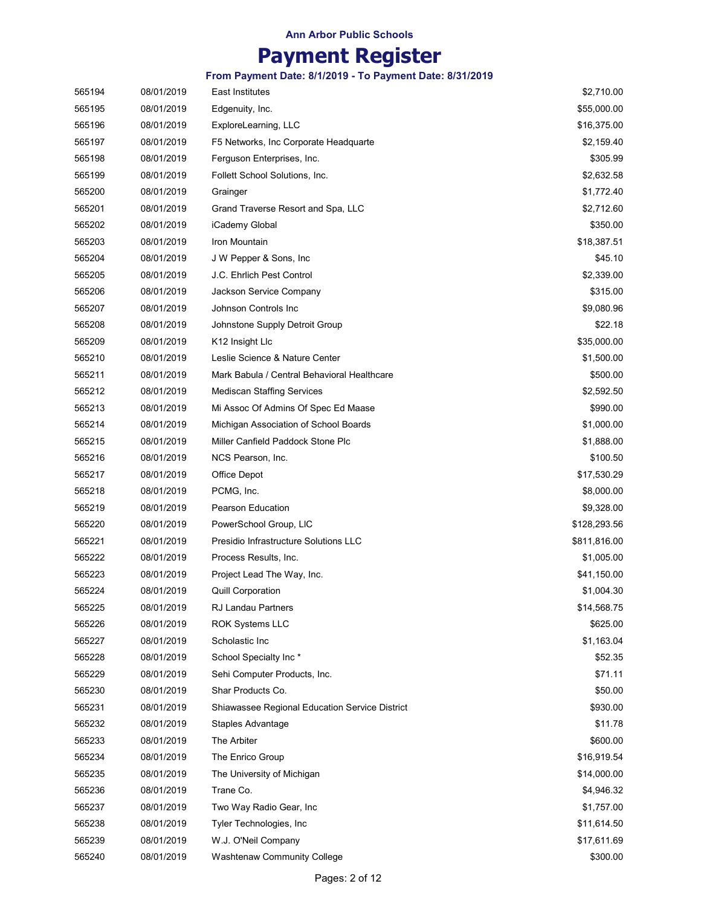# Payment Register

| 565194 | 08/01/2019 | <b>East Institutes</b>                                | \$2,710.00   |
|--------|------------|-------------------------------------------------------|--------------|
| 565195 | 08/01/2019 | Edgenuity, Inc.                                       | \$55,000.00  |
| 565196 | 08/01/2019 | ExploreLearning, LLC                                  | \$16,375.00  |
| 565197 | 08/01/2019 | F5 Networks, Inc Corporate Headquarte                 | \$2,159.40   |
| 565198 | 08/01/2019 | Ferguson Enterprises, Inc.                            | \$305.99     |
| 565199 | 08/01/2019 | Follett School Solutions, Inc.                        | \$2,632.58   |
| 565200 | 08/01/2019 | Grainger                                              | \$1,772.40   |
| 565201 | 08/01/2019 | Grand Traverse Resort and Spa, LLC                    | \$2,712.60   |
| 565202 | 08/01/2019 | iCademy Global                                        | \$350.00     |
| 565203 | 08/01/2019 | Iron Mountain                                         | \$18,387.51  |
| 565204 | 08/01/2019 | J W Pepper & Sons, Inc.                               | \$45.10      |
| 565205 | 08/01/2019 | J.C. Ehrlich Pest Control                             | \$2,339.00   |
| 565206 | 08/01/2019 | Jackson Service Company                               | \$315.00     |
| 565207 | 08/01/2019 | Johnson Controls Inc                                  | \$9,080.96   |
| 565208 | 08/01/2019 | Johnstone Supply Detroit Group                        | \$22.18      |
| 565209 | 08/01/2019 | K12 Insight Llc                                       | \$35,000.00  |
| 565210 | 08/01/2019 | Leslie Science & Nature Center                        | \$1,500.00   |
| 565211 | 08/01/2019 | Mark Babula / Central Behavioral Healthcare           | \$500.00     |
| 565212 | 08/01/2019 | <b>Mediscan Staffing Services</b>                     | \$2,592.50   |
| 565213 | 08/01/2019 | Mi Assoc Of Admins Of Spec Ed Maase                   | \$990.00     |
| 565214 | 08/01/2019 | Michigan Association of School Boards                 | \$1,000.00   |
| 565215 | 08/01/2019 | Miller Canfield Paddock Stone Plc                     | \$1,888.00   |
| 565216 | 08/01/2019 | NCS Pearson, Inc.                                     | \$100.50     |
| 565217 | 08/01/2019 | Office Depot                                          | \$17,530.29  |
| 565218 | 08/01/2019 | PCMG, Inc.                                            | \$8,000.00   |
| 565219 | 08/01/2019 | <b>Pearson Education</b>                              | \$9,328.00   |
| 565220 | 08/01/2019 | PowerSchool Group, LIC                                | \$128,293.56 |
| 565221 | 08/01/2019 | Presidio Infrastructure Solutions LLC                 | \$811,816.00 |
| 565222 | 08/01/2019 | Process Results, Inc.                                 | \$1,005.00   |
| 565223 | 08/01/2019 | Project Lead The Way, Inc.                            | \$41,150.00  |
| 565224 | 08/01/2019 | <b>Quill Corporation</b>                              | \$1,004.30   |
| 565225 | 08/01/2019 | <b>RJ Landau Partners</b>                             | \$14,568.75  |
| 565226 | 08/01/2019 | <b>ROK Systems LLC</b>                                | \$625.00     |
| 565227 | 08/01/2019 | Scholastic Inc                                        | \$1,163.04   |
| 565228 | 08/01/2019 | School Specialty Inc*                                 | \$52.35      |
| 565229 | 08/01/2019 | Sehi Computer Products, Inc.                          | \$71.11      |
| 565230 | 08/01/2019 | Shar Products Co.                                     | \$50.00      |
| 565231 | 08/01/2019 | <b>Shiawassee Regional Education Service District</b> | \$930.00     |
| 565232 | 08/01/2019 | Staples Advantage                                     | \$11.78      |
| 565233 | 08/01/2019 | The Arbiter                                           | \$600.00     |
| 565234 | 08/01/2019 | The Enrico Group                                      | \$16,919.54  |
| 565235 | 08/01/2019 | The University of Michigan                            | \$14,000.00  |
| 565236 | 08/01/2019 | Trane Co.                                             | \$4,946.32   |
| 565237 | 08/01/2019 | Two Way Radio Gear, Inc.                              | \$1,757.00   |
| 565238 | 08/01/2019 | Tyler Technologies, Inc.                              | \$11,614.50  |
| 565239 | 08/01/2019 | W.J. O'Neil Company                                   | \$17,611.69  |
| 565240 | 08/01/2019 | Washtenaw Community College                           | \$300.00     |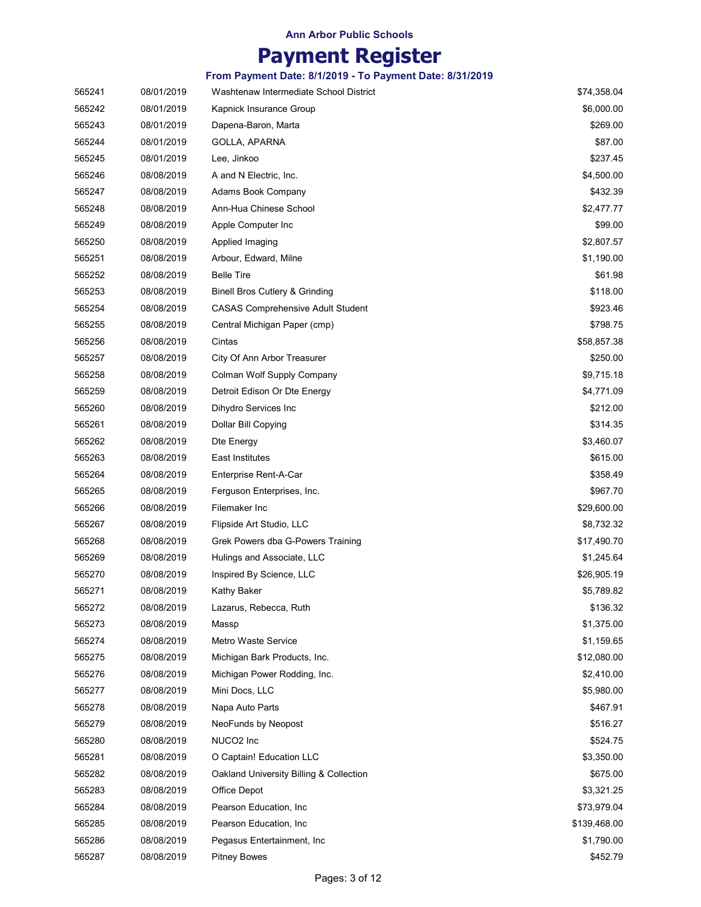# Payment Register

| 565241 | 08/01/2019 | Washtenaw Intermediate School District    | \$74,358.04  |
|--------|------------|-------------------------------------------|--------------|
| 565242 | 08/01/2019 | Kapnick Insurance Group                   | \$6,000.00   |
| 565243 | 08/01/2019 | Dapena-Baron, Marta                       | \$269.00     |
| 565244 | 08/01/2019 | GOLLA, APARNA                             | \$87.00      |
| 565245 | 08/01/2019 | Lee, Jinkoo                               | \$237.45     |
| 565246 | 08/08/2019 | A and N Electric, Inc.                    | \$4,500.00   |
| 565247 | 08/08/2019 | Adams Book Company                        | \$432.39     |
| 565248 | 08/08/2019 | Ann-Hua Chinese School                    | \$2,477.77   |
| 565249 | 08/08/2019 | Apple Computer Inc                        | \$99.00      |
| 565250 | 08/08/2019 | Applied Imaging                           | \$2,807.57   |
| 565251 | 08/08/2019 | Arbour, Edward, Milne                     | \$1,190.00   |
| 565252 | 08/08/2019 | <b>Belle Tire</b>                         | \$61.98      |
| 565253 | 08/08/2019 | <b>Binell Bros Cutlery &amp; Grinding</b> | \$118.00     |
| 565254 | 08/08/2019 | <b>CASAS Comprehensive Adult Student</b>  | \$923.46     |
| 565255 | 08/08/2019 | Central Michigan Paper (cmp)              | \$798.75     |
| 565256 | 08/08/2019 | Cintas                                    | \$58,857.38  |
| 565257 | 08/08/2019 | City Of Ann Arbor Treasurer               | \$250.00     |
| 565258 | 08/08/2019 | Colman Wolf Supply Company                | \$9,715.18   |
| 565259 | 08/08/2019 | Detroit Edison Or Dte Energy              | \$4,771.09   |
| 565260 | 08/08/2019 | Dihydro Services Inc                      | \$212.00     |
| 565261 | 08/08/2019 | Dollar Bill Copying                       | \$314.35     |
| 565262 | 08/08/2019 | Dte Energy                                | \$3,460.07   |
| 565263 | 08/08/2019 | East Institutes                           | \$615.00     |
| 565264 | 08/08/2019 | Enterprise Rent-A-Car                     | \$358.49     |
| 565265 | 08/08/2019 | Ferguson Enterprises, Inc.                | \$967.70     |
| 565266 | 08/08/2019 | Filemaker Inc                             | \$29,600.00  |
| 565267 | 08/08/2019 | Flipside Art Studio, LLC                  | \$8,732.32   |
| 565268 | 08/08/2019 | Grek Powers dba G-Powers Training         | \$17,490.70  |
| 565269 | 08/08/2019 | Hulings and Associate, LLC                | \$1,245.64   |
| 565270 | 08/08/2019 | Inspired By Science, LLC                  | \$26,905.19  |
| 565271 | 08/08/2019 | Kathy Baker                               | \$5,789.82   |
| 565272 | 08/08/2019 | Lazarus, Rebecca, Ruth                    | \$136.32     |
| 565273 | 08/08/2019 | Massp                                     | \$1,375.00   |
| 565274 | 08/08/2019 | <b>Metro Waste Service</b>                | \$1,159.65   |
| 565275 | 08/08/2019 | Michigan Bark Products, Inc.              | \$12,080.00  |
| 565276 | 08/08/2019 | Michigan Power Rodding, Inc.              | \$2,410.00   |
| 565277 | 08/08/2019 | Mini Docs, LLC                            | \$5,980.00   |
| 565278 | 08/08/2019 | Napa Auto Parts                           | \$467.91     |
| 565279 | 08/08/2019 | NeoFunds by Neopost                       | \$516.27     |
| 565280 | 08/08/2019 | NUCO <sub>2</sub> Inc                     | \$524.75     |
| 565281 | 08/08/2019 | O Captain! Education LLC                  | \$3,350.00   |
| 565282 | 08/08/2019 | Oakland University Billing & Collection   | \$675.00     |
| 565283 | 08/08/2019 | Office Depot                              | \$3,321.25   |
| 565284 | 08/08/2019 | Pearson Education, Inc.                   | \$73,979.04  |
| 565285 | 08/08/2019 | Pearson Education, Inc.                   | \$139,468.00 |
| 565286 | 08/08/2019 | Pegasus Entertainment, Inc.               | \$1,790.00   |
| 565287 | 08/08/2019 | <b>Pitney Bowes</b>                       | \$452.79     |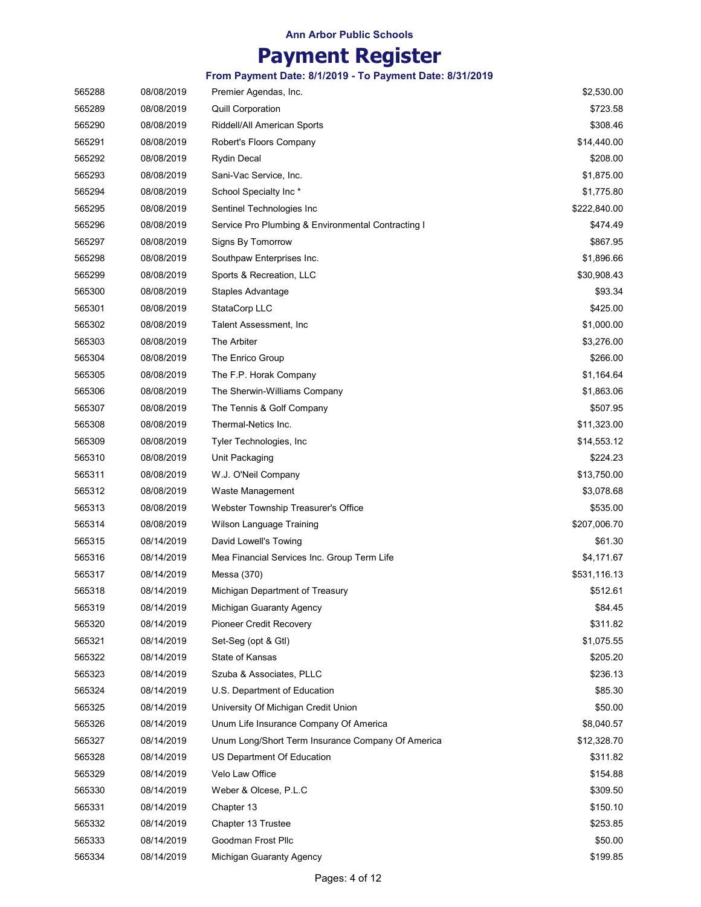# Payment Register

| 565288 | 08/08/2019 | Premier Agendas, Inc.                              | \$2,530.00   |
|--------|------------|----------------------------------------------------|--------------|
| 565289 | 08/08/2019 | <b>Quill Corporation</b>                           | \$723.58     |
| 565290 | 08/08/2019 | Riddell/All American Sports                        | \$308.46     |
| 565291 | 08/08/2019 | Robert's Floors Company                            | \$14,440.00  |
| 565292 | 08/08/2019 | <b>Rydin Decal</b>                                 | \$208.00     |
| 565293 | 08/08/2019 | Sani-Vac Service, Inc.                             | \$1,875.00   |
| 565294 | 08/08/2019 | School Specialty Inc*                              | \$1,775.80   |
| 565295 | 08/08/2019 | Sentinel Technologies Inc                          | \$222,840.00 |
| 565296 | 08/08/2019 | Service Pro Plumbing & Environmental Contracting I | \$474.49     |
| 565297 | 08/08/2019 | Signs By Tomorrow                                  | \$867.95     |
| 565298 | 08/08/2019 | Southpaw Enterprises Inc.                          | \$1,896.66   |
| 565299 | 08/08/2019 | Sports & Recreation, LLC                           | \$30,908.43  |
| 565300 | 08/08/2019 | Staples Advantage                                  | \$93.34      |
| 565301 | 08/08/2019 | StataCorp LLC                                      | \$425.00     |
| 565302 | 08/08/2019 | Talent Assessment, Inc                             | \$1,000.00   |
| 565303 | 08/08/2019 | The Arbiter                                        | \$3,276.00   |
| 565304 | 08/08/2019 | The Enrico Group                                   | \$266.00     |
| 565305 | 08/08/2019 | The F.P. Horak Company                             | \$1,164.64   |
| 565306 | 08/08/2019 | The Sherwin-Williams Company                       | \$1,863.06   |
| 565307 | 08/08/2019 | The Tennis & Golf Company                          | \$507.95     |
| 565308 | 08/08/2019 | Thermal-Netics Inc.                                | \$11,323.00  |
| 565309 | 08/08/2019 | Tyler Technologies, Inc.                           | \$14,553.12  |
| 565310 | 08/08/2019 | Unit Packaging                                     | \$224.23     |
| 565311 | 08/08/2019 | W.J. O'Neil Company                                | \$13,750.00  |
| 565312 | 08/08/2019 | Waste Management                                   | \$3,078.68   |
| 565313 | 08/08/2019 | Webster Township Treasurer's Office                | \$535.00     |
| 565314 | 08/08/2019 | Wilson Language Training                           | \$207,006.70 |
| 565315 | 08/14/2019 | David Lowell's Towing                              | \$61.30      |
| 565316 | 08/14/2019 | Mea Financial Services Inc. Group Term Life        | \$4,171.67   |
| 565317 | 08/14/2019 | Messa (370)                                        | \$531,116.13 |
| 565318 | 08/14/2019 | Michigan Department of Treasury                    | \$512.61     |
| 565319 | 08/14/2019 | Michigan Guaranty Agency                           | \$84.45      |
| 565320 | 08/14/2019 | <b>Pioneer Credit Recovery</b>                     | \$311.82     |
| 565321 | 08/14/2019 | Set-Seg (opt & Gtl)                                | \$1,075.55   |
| 565322 | 08/14/2019 | State of Kansas                                    | \$205.20     |
| 565323 | 08/14/2019 | Szuba & Associates, PLLC                           | \$236.13     |
| 565324 | 08/14/2019 | U.S. Department of Education                       | \$85.30      |
| 565325 | 08/14/2019 | University Of Michigan Credit Union                | \$50.00      |
| 565326 | 08/14/2019 | Unum Life Insurance Company Of America             | \$8,040.57   |
| 565327 | 08/14/2019 | Unum Long/Short Term Insurance Company Of America  | \$12,328.70  |
| 565328 | 08/14/2019 | US Department Of Education                         | \$311.82     |
| 565329 | 08/14/2019 | Velo Law Office                                    | \$154.88     |
| 565330 | 08/14/2019 | Weber & Olcese, P.L.C                              | \$309.50     |
| 565331 | 08/14/2019 | Chapter 13                                         | \$150.10     |
| 565332 | 08/14/2019 | Chapter 13 Trustee                                 | \$253.85     |
| 565333 | 08/14/2019 | Goodman Frost Pllc                                 | \$50.00      |
| 565334 | 08/14/2019 | Michigan Guaranty Agency                           | \$199.85     |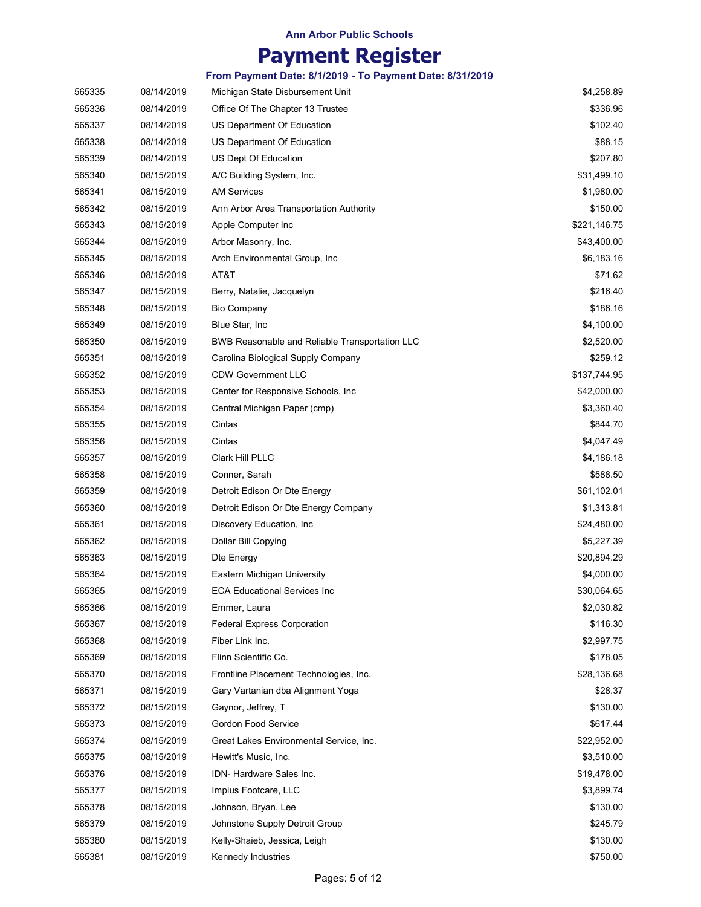# Payment Register

| 565335 | 08/14/2019 | Michigan State Disbursement Unit               | \$4,258.89   |
|--------|------------|------------------------------------------------|--------------|
| 565336 | 08/14/2019 | Office Of The Chapter 13 Trustee               | \$336.96     |
| 565337 | 08/14/2019 | US Department Of Education                     | \$102.40     |
| 565338 | 08/14/2019 | US Department Of Education                     | \$88.15      |
| 565339 | 08/14/2019 | US Dept Of Education                           | \$207.80     |
| 565340 | 08/15/2019 | A/C Building System, Inc.                      | \$31,499.10  |
| 565341 | 08/15/2019 | <b>AM Services</b>                             | \$1,980.00   |
| 565342 | 08/15/2019 | Ann Arbor Area Transportation Authority        | \$150.00     |
| 565343 | 08/15/2019 | Apple Computer Inc                             | \$221,146.75 |
| 565344 | 08/15/2019 | Arbor Masonry, Inc.                            | \$43,400.00  |
| 565345 | 08/15/2019 | Arch Environmental Group, Inc                  | \$6,183.16   |
| 565346 | 08/15/2019 | AT&T                                           | \$71.62      |
| 565347 | 08/15/2019 | Berry, Natalie, Jacquelyn                      | \$216.40     |
| 565348 | 08/15/2019 | <b>Bio Company</b>                             | \$186.16     |
| 565349 | 08/15/2019 | Blue Star, Inc                                 | \$4,100.00   |
| 565350 | 08/15/2019 | BWB Reasonable and Reliable Transportation LLC | \$2,520.00   |
| 565351 | 08/15/2019 | Carolina Biological Supply Company             | \$259.12     |
| 565352 | 08/15/2019 | <b>CDW Government LLC</b>                      | \$137,744.95 |
| 565353 | 08/15/2019 | Center for Responsive Schools, Inc.            | \$42,000.00  |
| 565354 | 08/15/2019 | Central Michigan Paper (cmp)                   | \$3,360.40   |
| 565355 | 08/15/2019 | Cintas                                         | \$844.70     |
| 565356 | 08/15/2019 | Cintas                                         | \$4,047.49   |
| 565357 | 08/15/2019 | Clark Hill PLLC                                | \$4,186.18   |
| 565358 | 08/15/2019 | Conner, Sarah                                  | \$588.50     |
| 565359 | 08/15/2019 | Detroit Edison Or Dte Energy                   | \$61,102.01  |
| 565360 | 08/15/2019 | Detroit Edison Or Dte Energy Company           | \$1,313.81   |
| 565361 | 08/15/2019 | Discovery Education, Inc.                      | \$24,480.00  |
| 565362 | 08/15/2019 | Dollar Bill Copying                            | \$5,227.39   |
| 565363 | 08/15/2019 | Dte Energy                                     | \$20,894.29  |
| 565364 | 08/15/2019 | Eastern Michigan University                    | \$4,000.00   |
| 565365 | 08/15/2019 | <b>ECA Educational Services Inc</b>            | \$30,064.65  |
| 565366 | 08/15/2019 | Emmer, Laura                                   | \$2,030.82   |
| 565367 | 08/15/2019 | <b>Federal Express Corporation</b>             | \$116.30     |
| 565368 | 08/15/2019 | Fiber Link Inc.                                | \$2,997.75   |
| 565369 | 08/15/2019 | Flinn Scientific Co.                           | \$178.05     |
| 565370 | 08/15/2019 | Frontline Placement Technologies, Inc.         | \$28,136.68  |
| 565371 | 08/15/2019 | Gary Vartanian dba Alignment Yoga              | \$28.37      |
| 565372 | 08/15/2019 | Gaynor, Jeffrey, T                             | \$130.00     |
| 565373 | 08/15/2019 | Gordon Food Service                            | \$617.44     |
| 565374 | 08/15/2019 | Great Lakes Environmental Service, Inc.        | \$22,952.00  |
| 565375 | 08/15/2019 | Hewitt's Music, Inc.                           | \$3,510.00   |
| 565376 | 08/15/2019 | IDN- Hardware Sales Inc.                       | \$19,478.00  |
| 565377 | 08/15/2019 | Implus Footcare, LLC                           | \$3,899.74   |
| 565378 | 08/15/2019 | Johnson, Bryan, Lee                            | \$130.00     |
| 565379 | 08/15/2019 | Johnstone Supply Detroit Group                 | \$245.79     |
| 565380 | 08/15/2019 | Kelly-Shaieb, Jessica, Leigh                   | \$130.00     |
| 565381 | 08/15/2019 | Kennedy Industries                             | \$750.00     |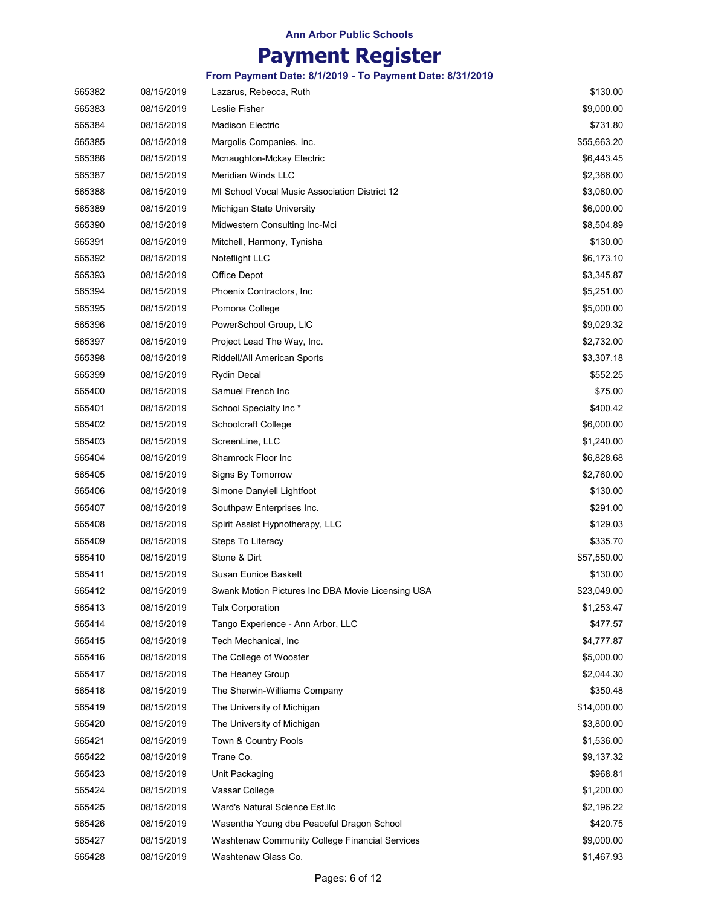# Payment Register

| 565382 | 08/15/2019 | Lazarus, Rebecca, Ruth                            | \$130.00    |
|--------|------------|---------------------------------------------------|-------------|
| 565383 | 08/15/2019 | Leslie Fisher                                     | \$9,000.00  |
| 565384 | 08/15/2019 | <b>Madison Electric</b>                           | \$731.80    |
| 565385 | 08/15/2019 | Margolis Companies, Inc.                          | \$55,663.20 |
| 565386 | 08/15/2019 | Mcnaughton-Mckay Electric                         | \$6,443.45  |
| 565387 | 08/15/2019 | Meridian Winds LLC                                | \$2,366.00  |
| 565388 | 08/15/2019 | MI School Vocal Music Association District 12     | \$3,080.00  |
| 565389 | 08/15/2019 | Michigan State University                         | \$6,000.00  |
| 565390 | 08/15/2019 | Midwestern Consulting Inc-Mci                     | \$8,504.89  |
| 565391 | 08/15/2019 | Mitchell, Harmony, Tynisha                        | \$130.00    |
| 565392 | 08/15/2019 | Noteflight LLC                                    | \$6,173.10  |
| 565393 | 08/15/2019 | Office Depot                                      | \$3,345.87  |
| 565394 | 08/15/2019 | Phoenix Contractors, Inc.                         | \$5,251.00  |
| 565395 | 08/15/2019 | Pomona College                                    | \$5,000.00  |
| 565396 | 08/15/2019 | PowerSchool Group, LIC                            | \$9,029.32  |
| 565397 | 08/15/2019 | Project Lead The Way, Inc.                        | \$2,732.00  |
| 565398 | 08/15/2019 | Riddell/All American Sports                       | \$3,307.18  |
| 565399 | 08/15/2019 | Rydin Decal                                       | \$552.25    |
| 565400 | 08/15/2019 | Samuel French Inc                                 | \$75.00     |
| 565401 | 08/15/2019 | School Specialty Inc*                             | \$400.42    |
| 565402 | 08/15/2019 | Schoolcraft College                               | \$6,000.00  |
| 565403 | 08/15/2019 | ScreenLine, LLC                                   | \$1,240.00  |
| 565404 | 08/15/2019 | Shamrock Floor Inc                                | \$6,828.68  |
| 565405 | 08/15/2019 | Signs By Tomorrow                                 | \$2,760.00  |
| 565406 | 08/15/2019 | Simone Danyiell Lightfoot                         | \$130.00    |
| 565407 | 08/15/2019 | Southpaw Enterprises Inc.                         | \$291.00    |
| 565408 | 08/15/2019 | Spirit Assist Hypnotherapy, LLC                   | \$129.03    |
| 565409 | 08/15/2019 | Steps To Literacy                                 | \$335.70    |
| 565410 | 08/15/2019 | Stone & Dirt                                      | \$57,550.00 |
| 565411 | 08/15/2019 | Susan Eunice Baskett                              | \$130.00    |
| 565412 | 08/15/2019 | Swank Motion Pictures Inc DBA Movie Licensing USA | \$23,049.00 |
| 565413 | 08/15/2019 | <b>Talx Corporation</b>                           | \$1,253.47  |
| 565414 | 08/15/2019 | Tango Experience - Ann Arbor, LLC                 | \$477.57    |
| 565415 | 08/15/2019 | Tech Mechanical, Inc.                             | \$4,777.87  |
| 565416 | 08/15/2019 | The College of Wooster                            | \$5,000.00  |
| 565417 | 08/15/2019 | The Heaney Group                                  | \$2,044.30  |
| 565418 | 08/15/2019 | The Sherwin-Williams Company                      | \$350.48    |
| 565419 | 08/15/2019 | The University of Michigan                        | \$14,000.00 |
| 565420 | 08/15/2019 | The University of Michigan                        | \$3,800.00  |
| 565421 | 08/15/2019 | Town & Country Pools                              | \$1,536.00  |
| 565422 | 08/15/2019 | Trane Co.                                         | \$9,137.32  |
| 565423 | 08/15/2019 | Unit Packaging                                    | \$968.81    |
| 565424 | 08/15/2019 | Vassar College                                    | \$1,200.00  |
| 565425 | 08/15/2019 | Ward's Natural Science Est.llc                    | \$2,196.22  |
| 565426 | 08/15/2019 | Wasentha Young dba Peaceful Dragon School         | \$420.75    |
| 565427 | 08/15/2019 | Washtenaw Community College Financial Services    | \$9,000.00  |
| 565428 | 08/15/2019 | Washtenaw Glass Co.                               | \$1,467.93  |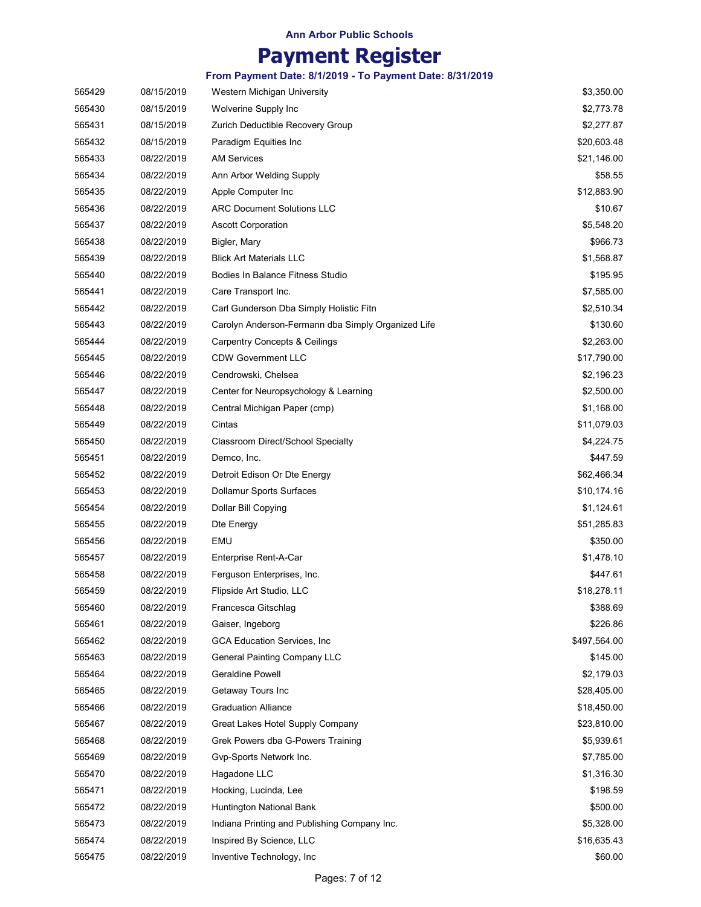### Payment Register

| 565429 | 08/15/2019 | Western Michigan University                        | \$3,350.00   |
|--------|------------|----------------------------------------------------|--------------|
| 565430 | 08/15/2019 | Wolverine Supply Inc                               | \$2,773.78   |
| 565431 | 08/15/2019 | Zurich Deductible Recovery Group                   | \$2,277.87   |
| 565432 | 08/15/2019 | Paradigm Equities Inc                              | \$20,603.48  |
| 565433 | 08/22/2019 | <b>AM Services</b>                                 | \$21,146.00  |
| 565434 | 08/22/2019 | Ann Arbor Welding Supply                           | \$58.55      |
| 565435 | 08/22/2019 | Apple Computer Inc                                 | \$12,883.90  |
| 565436 | 08/22/2019 | <b>ARC Document Solutions LLC</b>                  | \$10.67      |
| 565437 | 08/22/2019 | <b>Ascott Corporation</b>                          | \$5,548.20   |
| 565438 | 08/22/2019 | Bigler, Mary                                       | \$966.73     |
| 565439 | 08/22/2019 | <b>Blick Art Materials LLC</b>                     | \$1,568.87   |
| 565440 | 08/22/2019 | <b>Bodies In Balance Fitness Studio</b>            | \$195.95     |
| 565441 | 08/22/2019 | Care Transport Inc.                                | \$7,585.00   |
| 565442 | 08/22/2019 | Carl Gunderson Dba Simply Holistic Fitn            | \$2,510.34   |
| 565443 | 08/22/2019 | Carolyn Anderson-Fermann dba Simply Organized Life | \$130.60     |
| 565444 | 08/22/2019 | Carpentry Concepts & Ceilings                      | \$2,263.00   |
| 565445 | 08/22/2019 | <b>CDW Government LLC</b>                          | \$17,790.00  |
| 565446 | 08/22/2019 | Cendrowski, Chelsea                                | \$2,196.23   |
| 565447 | 08/22/2019 | Center for Neuropsychology & Learning              | \$2,500.00   |
| 565448 | 08/22/2019 | Central Michigan Paper (cmp)                       | \$1,168.00   |
| 565449 | 08/22/2019 | Cintas                                             | \$11,079.03  |
| 565450 | 08/22/2019 | Classroom Direct/School Specialty                  | \$4,224.75   |
| 565451 | 08/22/2019 | Demco, Inc.                                        | \$447.59     |
| 565452 | 08/22/2019 | Detroit Edison Or Dte Energy                       | \$62,466.34  |
| 565453 | 08/22/2019 | Dollamur Sports Surfaces                           | \$10,174.16  |
| 565454 | 08/22/2019 | Dollar Bill Copying                                | \$1,124.61   |
| 565455 | 08/22/2019 | Dte Energy                                         | \$51,285.83  |
| 565456 | 08/22/2019 | EMU                                                | \$350.00     |
| 565457 | 08/22/2019 | Enterprise Rent-A-Car                              | \$1,478.10   |
| 565458 | 08/22/2019 | Ferguson Enterprises, Inc.                         | \$447.61     |
| 565459 | 08/22/2019 | Flipside Art Studio, LLC                           | \$18,278.11  |
| 565460 | 08/22/2019 | Francesca Gitschlag                                | \$388.69     |
| 565461 | 08/22/2019 | Gaiser, Ingeborg                                   | \$226.86     |
| 565462 | 08/22/2019 | GCA Education Services, Inc.                       | \$497,564.00 |
| 565463 | 08/22/2019 | <b>General Painting Company LLC</b>                | \$145.00     |
| 565464 | 08/22/2019 | <b>Geraldine Powell</b>                            | \$2,179.03   |
| 565465 | 08/22/2019 | Getaway Tours Inc                                  | \$28,405.00  |
| 565466 | 08/22/2019 | <b>Graduation Alliance</b>                         | \$18,450.00  |
| 565467 | 08/22/2019 | Great Lakes Hotel Supply Company                   | \$23,810.00  |
| 565468 | 08/22/2019 | Grek Powers dba G-Powers Training                  | \$5,939.61   |
| 565469 | 08/22/2019 | Gvp-Sports Network Inc.                            | \$7,785.00   |
| 565470 | 08/22/2019 | Hagadone LLC                                       | \$1,316.30   |
| 565471 | 08/22/2019 | Hocking, Lucinda, Lee                              | \$198.59     |
| 565472 | 08/22/2019 | Huntington National Bank                           | \$500.00     |
| 565473 | 08/22/2019 | Indiana Printing and Publishing Company Inc.       | \$5,328.00   |
| 565474 | 08/22/2019 | Inspired By Science, LLC                           | \$16,635.43  |
| 565475 | 08/22/2019 | Inventive Technology, Inc                          | \$60.00      |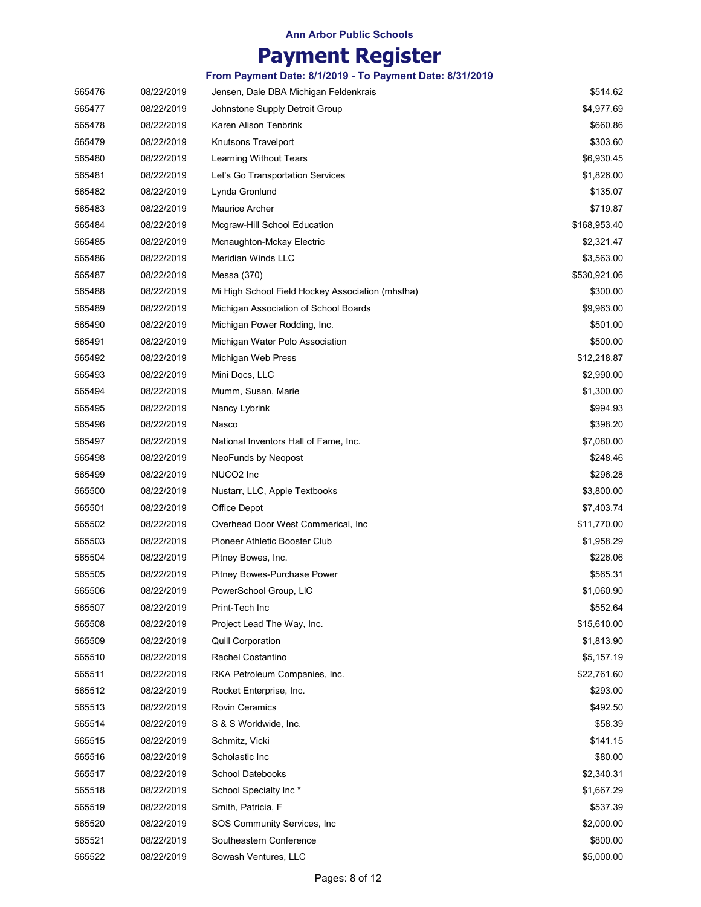# Payment Register

| 565476 | 08/22/2019 | Jensen, Dale DBA Michigan Feldenkrais            | \$514.62     |
|--------|------------|--------------------------------------------------|--------------|
| 565477 | 08/22/2019 | Johnstone Supply Detroit Group                   | \$4,977.69   |
| 565478 | 08/22/2019 | Karen Alison Tenbrink                            | \$660.86     |
| 565479 | 08/22/2019 | Knutsons Travelport                              | \$303.60     |
| 565480 | 08/22/2019 | Learning Without Tears                           | \$6,930.45   |
| 565481 | 08/22/2019 | Let's Go Transportation Services                 | \$1,826.00   |
| 565482 | 08/22/2019 | Lynda Gronlund                                   | \$135.07     |
| 565483 | 08/22/2019 | <b>Maurice Archer</b>                            | \$719.87     |
| 565484 | 08/22/2019 | Mcgraw-Hill School Education                     | \$168,953.40 |
| 565485 | 08/22/2019 | Mcnaughton-Mckay Electric                        | \$2,321.47   |
| 565486 | 08/22/2019 | Meridian Winds LLC                               | \$3,563.00   |
| 565487 | 08/22/2019 | Messa (370)                                      | \$530,921.06 |
| 565488 | 08/22/2019 | Mi High School Field Hockey Association (mhsfha) | \$300.00     |
| 565489 | 08/22/2019 | Michigan Association of School Boards            | \$9,963.00   |
| 565490 | 08/22/2019 | Michigan Power Rodding, Inc.                     | \$501.00     |
| 565491 | 08/22/2019 | Michigan Water Polo Association                  | \$500.00     |
| 565492 | 08/22/2019 | Michigan Web Press                               | \$12,218.87  |
| 565493 | 08/22/2019 | Mini Docs, LLC                                   | \$2,990.00   |
| 565494 | 08/22/2019 | Mumm, Susan, Marie                               | \$1,300.00   |
| 565495 | 08/22/2019 | Nancy Lybrink                                    | \$994.93     |
| 565496 | 08/22/2019 | Nasco                                            | \$398.20     |
| 565497 | 08/22/2019 | National Inventors Hall of Fame, Inc.            | \$7,080.00   |
| 565498 | 08/22/2019 | NeoFunds by Neopost                              | \$248.46     |
| 565499 | 08/22/2019 | NUCO2 Inc                                        | \$296.28     |
| 565500 | 08/22/2019 | Nustarr, LLC, Apple Textbooks                    | \$3,800.00   |
| 565501 | 08/22/2019 | Office Depot                                     | \$7,403.74   |
| 565502 | 08/22/2019 | Overhead Door West Commerical, Inc.              | \$11,770.00  |
| 565503 | 08/22/2019 | Pioneer Athletic Booster Club                    | \$1,958.29   |
| 565504 | 08/22/2019 | Pitney Bowes, Inc.                               | \$226.06     |
| 565505 | 08/22/2019 | Pitney Bowes-Purchase Power                      | \$565.31     |
| 565506 | 08/22/2019 | PowerSchool Group, LIC                           | \$1,060.90   |
| 565507 | 08/22/2019 | Print-Tech Inc                                   | \$552.64     |
| 565508 | 08/22/2019 | Project Lead The Way, Inc.                       | \$15,610.00  |
| 565509 | 08/22/2019 | <b>Quill Corporation</b>                         | \$1,813.90   |
| 565510 | 08/22/2019 | Rachel Costantino                                | \$5,157.19   |
| 565511 | 08/22/2019 | RKA Petroleum Companies, Inc.                    | \$22,761.60  |
| 565512 | 08/22/2019 | Rocket Enterprise, Inc.                          | \$293.00     |
| 565513 | 08/22/2019 | <b>Rovin Ceramics</b>                            | \$492.50     |
| 565514 | 08/22/2019 | S & S Worldwide, Inc.                            | \$58.39      |
| 565515 | 08/22/2019 | Schmitz, Vicki                                   | \$141.15     |
| 565516 | 08/22/2019 | Scholastic Inc                                   | \$80.00      |
| 565517 | 08/22/2019 | <b>School Datebooks</b>                          | \$2,340.31   |
| 565518 | 08/22/2019 | School Specialty Inc*                            | \$1,667.29   |
| 565519 | 08/22/2019 | Smith, Patricia, F                               | \$537.39     |
| 565520 | 08/22/2019 | SOS Community Services, Inc.                     | \$2,000.00   |
| 565521 | 08/22/2019 | Southeastern Conference                          | \$800.00     |
| 565522 | 08/22/2019 | Sowash Ventures, LLC                             | \$5,000.00   |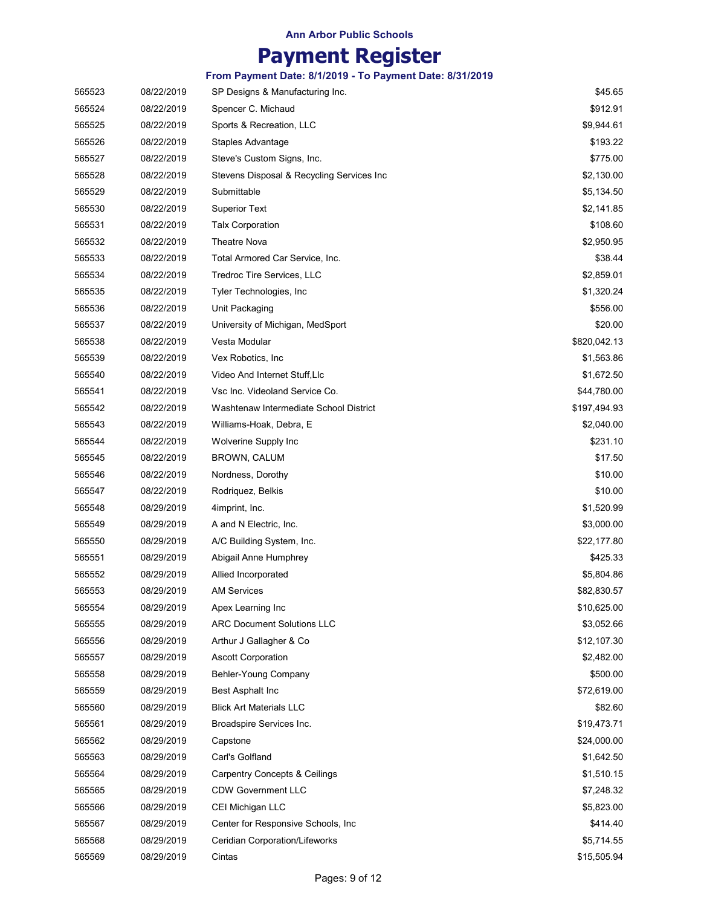# Payment Register

| 565523 | 08/22/2019 | SP Designs & Manufacturing Inc.           | \$45.65      |
|--------|------------|-------------------------------------------|--------------|
| 565524 | 08/22/2019 | Spencer C. Michaud                        | \$912.91     |
| 565525 | 08/22/2019 | Sports & Recreation, LLC                  | \$9,944.61   |
| 565526 | 08/22/2019 | Staples Advantage                         | \$193.22     |
| 565527 | 08/22/2019 | Steve's Custom Signs, Inc.                | \$775.00     |
| 565528 | 08/22/2019 | Stevens Disposal & Recycling Services Inc | \$2,130.00   |
| 565529 | 08/22/2019 | Submittable                               | \$5,134.50   |
| 565530 | 08/22/2019 | <b>Superior Text</b>                      | \$2,141.85   |
| 565531 | 08/22/2019 | <b>Talx Corporation</b>                   | \$108.60     |
| 565532 | 08/22/2019 | Theatre Nova                              | \$2,950.95   |
| 565533 | 08/22/2019 | Total Armored Car Service, Inc.           | \$38.44      |
| 565534 | 08/22/2019 | Tredroc Tire Services, LLC                | \$2,859.01   |
| 565535 | 08/22/2019 | Tyler Technologies, Inc                   | \$1,320.24   |
| 565536 | 08/22/2019 | Unit Packaging                            | \$556.00     |
| 565537 | 08/22/2019 | University of Michigan, MedSport          | \$20.00      |
| 565538 | 08/22/2019 | Vesta Modular                             | \$820,042.13 |
| 565539 | 08/22/2019 | Vex Robotics, Inc.                        | \$1,563.86   |
| 565540 | 08/22/2019 | Video And Internet Stuff, Llc             | \$1,672.50   |
| 565541 | 08/22/2019 | Vsc Inc. Videoland Service Co.            | \$44,780.00  |
| 565542 | 08/22/2019 | Washtenaw Intermediate School District    | \$197,494.93 |
| 565543 | 08/22/2019 | Williams-Hoak, Debra, E                   | \$2,040.00   |
| 565544 | 08/22/2019 | Wolverine Supply Inc                      | \$231.10     |
| 565545 | 08/22/2019 | BROWN, CALUM                              | \$17.50      |
| 565546 | 08/22/2019 | Nordness, Dorothy                         | \$10.00      |
| 565547 | 08/22/2019 | Rodriquez, Belkis                         | \$10.00      |
| 565548 | 08/29/2019 | 4imprint, Inc.                            | \$1,520.99   |
| 565549 | 08/29/2019 | A and N Electric, Inc.                    | \$3,000.00   |
| 565550 | 08/29/2019 | A/C Building System, Inc.                 | \$22,177.80  |
| 565551 | 08/29/2019 | Abigail Anne Humphrey                     | \$425.33     |
| 565552 | 08/29/2019 | Allied Incorporated                       | \$5,804.86   |
| 565553 | 08/29/2019 | AM Services                               | \$82,830.57  |
| 565554 | 08/29/2019 | Apex Learning Inc                         | \$10,625.00  |
| 565555 | 08/29/2019 | <b>ARC Document Solutions LLC</b>         | \$3,052.66   |
| 565556 | 08/29/2019 | Arthur J Gallagher & Co                   | \$12,107.30  |
| 565557 | 08/29/2019 | <b>Ascott Corporation</b>                 | \$2,482.00   |
| 565558 | 08/29/2019 | Behler-Young Company                      | \$500.00     |
| 565559 | 08/29/2019 | Best Asphalt Inc                          | \$72,619.00  |
| 565560 | 08/29/2019 | <b>Blick Art Materials LLC</b>            | \$82.60      |
| 565561 | 08/29/2019 | Broadspire Services Inc.                  | \$19,473.71  |
| 565562 | 08/29/2019 | Capstone                                  | \$24,000.00  |
| 565563 | 08/29/2019 | Carl's Golfland                           | \$1,642.50   |
| 565564 | 08/29/2019 | <b>Carpentry Concepts &amp; Ceilings</b>  | \$1,510.15   |
| 565565 | 08/29/2019 | <b>CDW Government LLC</b>                 | \$7,248.32   |
| 565566 | 08/29/2019 | CEI Michigan LLC                          | \$5,823.00   |
| 565567 | 08/29/2019 | Center for Responsive Schools, Inc.       | \$414.40     |
| 565568 | 08/29/2019 | Ceridian Corporation/Lifeworks            | \$5,714.55   |
| 565569 | 08/29/2019 | Cintas                                    | \$15,505.94  |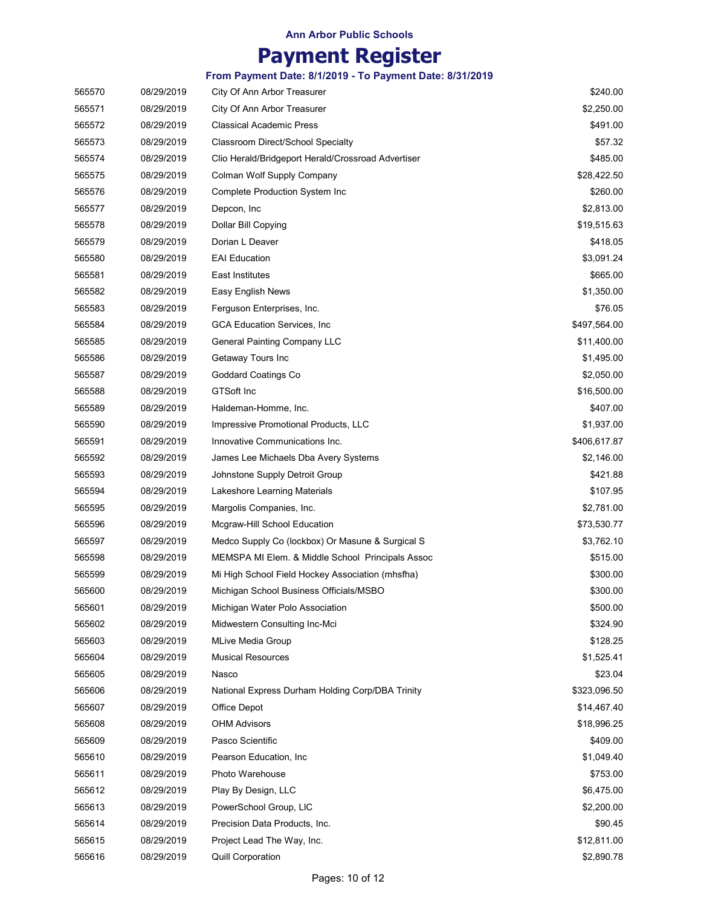# Payment Register

| 565570 | 08/29/2019 | City Of Ann Arbor Treasurer                        | \$240.00     |
|--------|------------|----------------------------------------------------|--------------|
| 565571 | 08/29/2019 | City Of Ann Arbor Treasurer                        | \$2,250.00   |
| 565572 | 08/29/2019 | <b>Classical Academic Press</b>                    | \$491.00     |
| 565573 | 08/29/2019 | Classroom Direct/School Specialty                  | \$57.32      |
| 565574 | 08/29/2019 | Clio Herald/Bridgeport Herald/Crossroad Advertiser | \$485.00     |
| 565575 | 08/29/2019 | Colman Wolf Supply Company                         | \$28,422.50  |
| 565576 | 08/29/2019 | Complete Production System Inc                     | \$260.00     |
| 565577 | 08/29/2019 | Depcon, Inc                                        | \$2,813.00   |
| 565578 | 08/29/2019 | Dollar Bill Copying                                | \$19,515.63  |
| 565579 | 08/29/2019 | Dorian L Deaver                                    | \$418.05     |
| 565580 | 08/29/2019 | <b>EAI Education</b>                               | \$3,091.24   |
| 565581 | 08/29/2019 | East Institutes                                    | \$665.00     |
| 565582 | 08/29/2019 | Easy English News                                  | \$1,350.00   |
| 565583 | 08/29/2019 | Ferguson Enterprises, Inc.                         | \$76.05      |
| 565584 | 08/29/2019 | <b>GCA Education Services, Inc.</b>                | \$497,564.00 |
| 565585 | 08/29/2019 | General Painting Company LLC                       | \$11,400.00  |
| 565586 | 08/29/2019 | Getaway Tours Inc                                  | \$1,495.00   |
| 565587 | 08/29/2019 | <b>Goddard Coatings Co</b>                         | \$2,050.00   |
| 565588 | 08/29/2019 | <b>GTSoft Inc</b>                                  | \$16,500.00  |
| 565589 | 08/29/2019 | Haldeman-Homme, Inc.                               | \$407.00     |
| 565590 | 08/29/2019 | Impressive Promotional Products, LLC               | \$1,937.00   |
| 565591 | 08/29/2019 | Innovative Communications Inc.                     | \$406,617.87 |
| 565592 | 08/29/2019 | James Lee Michaels Dba Avery Systems               | \$2,146.00   |
| 565593 | 08/29/2019 | Johnstone Supply Detroit Group                     | \$421.88     |
| 565594 | 08/29/2019 | Lakeshore Learning Materials                       | \$107.95     |
| 565595 | 08/29/2019 | Margolis Companies, Inc.                           | \$2,781.00   |
| 565596 | 08/29/2019 | Mcgraw-Hill School Education                       | \$73,530.77  |
| 565597 | 08/29/2019 | Medco Supply Co (lockbox) Or Masune & Surgical S   | \$3,762.10   |
| 565598 | 08/29/2019 | MEMSPA MI Elem. & Middle School Principals Assoc   | \$515.00     |
| 565599 | 08/29/2019 | Mi High School Field Hockey Association (mhsfha)   | \$300.00     |
| 565600 | 08/29/2019 | Michigan School Business Officials/MSBO            | \$300.00     |
| 565601 | 08/29/2019 | Michigan Water Polo Association                    | \$500.00     |
| 565602 | 08/29/2019 | Midwestern Consulting Inc-Mci                      | \$324.90     |
| 565603 | 08/29/2019 | MLive Media Group                                  | \$128.25     |
| 565604 | 08/29/2019 | <b>Musical Resources</b>                           | \$1,525.41   |
| 565605 | 08/29/2019 | Nasco                                              | \$23.04      |
| 565606 | 08/29/2019 | National Express Durham Holding Corp/DBA Trinity   | \$323,096.50 |
| 565607 | 08/29/2019 | Office Depot                                       | \$14,467.40  |
| 565608 | 08/29/2019 | <b>OHM Advisors</b>                                | \$18,996.25  |
| 565609 | 08/29/2019 | Pasco Scientific                                   | \$409.00     |
| 565610 | 08/29/2019 | Pearson Education, Inc.                            | \$1,049.40   |
| 565611 | 08/29/2019 | Photo Warehouse                                    | \$753.00     |
| 565612 | 08/29/2019 | Play By Design, LLC                                | \$6,475.00   |
| 565613 | 08/29/2019 | PowerSchool Group, LIC                             | \$2,200.00   |
| 565614 | 08/29/2019 | Precision Data Products, Inc.                      | \$90.45      |
| 565615 | 08/29/2019 | Project Lead The Way, Inc.                         | \$12,811.00  |
| 565616 | 08/29/2019 | <b>Quill Corporation</b>                           | \$2,890.78   |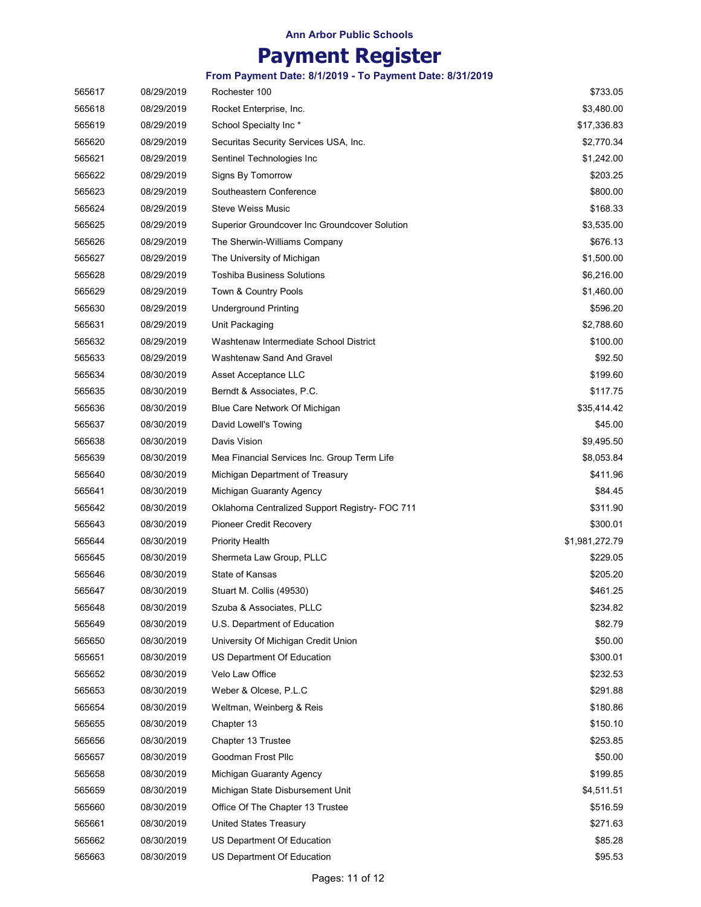# Payment Register

| 565617 | 08/29/2019 | Rochester 100                                  | \$733.05       |
|--------|------------|------------------------------------------------|----------------|
| 565618 | 08/29/2019 | Rocket Enterprise, Inc.                        | \$3,480.00     |
| 565619 | 08/29/2019 | School Specialty Inc*                          | \$17,336.83    |
| 565620 | 08/29/2019 | Securitas Security Services USA, Inc.          | \$2,770.34     |
| 565621 | 08/29/2019 | Sentinel Technologies Inc                      | \$1,242.00     |
| 565622 | 08/29/2019 | Signs By Tomorrow                              | \$203.25       |
| 565623 | 08/29/2019 | Southeastern Conference                        | \$800.00       |
| 565624 | 08/29/2019 | Steve Weiss Music                              | \$168.33       |
| 565625 | 08/29/2019 | Superior Groundcover Inc Groundcover Solution  | \$3,535.00     |
| 565626 | 08/29/2019 | The Sherwin-Williams Company                   | \$676.13       |
| 565627 | 08/29/2019 | The University of Michigan                     | \$1,500.00     |
| 565628 | 08/29/2019 | <b>Toshiba Business Solutions</b>              | \$6,216.00     |
| 565629 | 08/29/2019 | Town & Country Pools                           | \$1,460.00     |
| 565630 | 08/29/2019 | <b>Underground Printing</b>                    | \$596.20       |
| 565631 | 08/29/2019 | Unit Packaging                                 | \$2,788.60     |
| 565632 | 08/29/2019 | Washtenaw Intermediate School District         | \$100.00       |
| 565633 | 08/29/2019 | <b>Washtenaw Sand And Gravel</b>               | \$92.50        |
| 565634 | 08/30/2019 | Asset Acceptance LLC                           | \$199.60       |
| 565635 | 08/30/2019 | Berndt & Associates, P.C.                      | \$117.75       |
| 565636 | 08/30/2019 | Blue Care Network Of Michigan                  | \$35,414.42    |
| 565637 | 08/30/2019 | David Lowell's Towing                          | \$45.00        |
| 565638 | 08/30/2019 | Davis Vision                                   | \$9,495.50     |
| 565639 | 08/30/2019 | Mea Financial Services Inc. Group Term Life    | \$8,053.84     |
| 565640 | 08/30/2019 | Michigan Department of Treasury                | \$411.96       |
| 565641 | 08/30/2019 | Michigan Guaranty Agency                       | \$84.45        |
| 565642 | 08/30/2019 | Oklahoma Centralized Support Registry- FOC 711 | \$311.90       |
| 565643 | 08/30/2019 | Pioneer Credit Recovery                        | \$300.01       |
| 565644 | 08/30/2019 | <b>Priority Health</b>                         | \$1,981,272.79 |
| 565645 | 08/30/2019 | Shermeta Law Group, PLLC                       | \$229.05       |
| 565646 | 08/30/2019 | State of Kansas                                | \$205.20       |
| 565647 | 08/30/2019 | Stuart M. Collis (49530)                       | \$461.25       |
| 565648 | 08/30/2019 | Szuba & Associates, PLLC                       | \$234.82       |
| 565649 | 08/30/2019 | U.S. Department of Education                   | \$82.79        |
| 565650 | 08/30/2019 | University Of Michigan Credit Union            | \$50.00        |
| 565651 | 08/30/2019 | US Department Of Education                     | \$300.01       |
| 565652 | 08/30/2019 | Velo Law Office                                | \$232.53       |
| 565653 | 08/30/2019 | Weber & Olcese, P.L.C                          | \$291.88       |
| 565654 | 08/30/2019 | Weltman, Weinberg & Reis                       | \$180.86       |
| 565655 | 08/30/2019 | Chapter 13                                     | \$150.10       |
| 565656 | 08/30/2019 | Chapter 13 Trustee                             | \$253.85       |
| 565657 | 08/30/2019 | Goodman Frost Pllc                             | \$50.00        |
| 565658 | 08/30/2019 | Michigan Guaranty Agency                       | \$199.85       |
| 565659 | 08/30/2019 | Michigan State Disbursement Unit               | \$4,511.51     |
| 565660 | 08/30/2019 | Office Of The Chapter 13 Trustee               | \$516.59       |
| 565661 | 08/30/2019 | United States Treasury                         | \$271.63       |
| 565662 | 08/30/2019 | US Department Of Education                     | \$85.28        |
| 565663 | 08/30/2019 | US Department Of Education                     | \$95.53        |